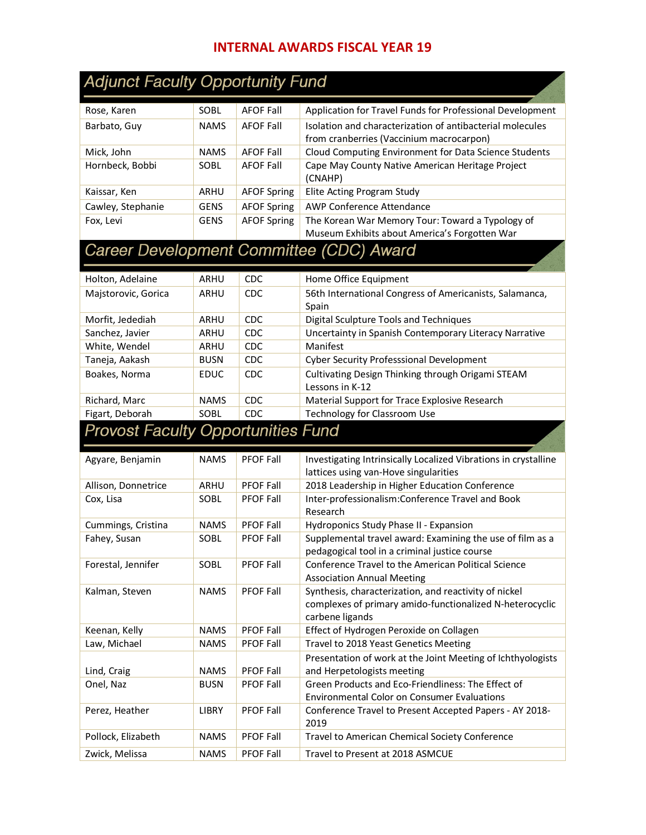## **INTERNAL AWARDS FISCAL YEAR 19**

| <b>Adjunct Faculty Opportunity Fund</b>   |                     |                                      |                                                                                                            |
|-------------------------------------------|---------------------|--------------------------------------|------------------------------------------------------------------------------------------------------------|
| Rose, Karen                               | SOBL                | <b>AFOF Fall</b>                     | Application for Travel Funds for Professional Development                                                  |
| Barbato, Guy                              | <b>NAMS</b>         | <b>AFOF Fall</b>                     | Isolation and characterization of antibacterial molecules                                                  |
|                                           |                     |                                      | from cranberries (Vaccinium macrocarpon)                                                                   |
| Mick, John                                | <b>NAMS</b>         | <b>AFOF Fall</b>                     | Cloud Computing Environment for Data Science Students                                                      |
| Hornbeck, Bobbi                           | SOBL                | <b>AFOF Fall</b>                     | Cape May County Native American Heritage Project<br>(CNAHP)                                                |
| Kaissar, Ken                              | ARHU                | <b>AFOF Spring</b>                   | Elite Acting Program Study                                                                                 |
| Cawley, Stephanie                         | <b>GENS</b>         | <b>AFOF Spring</b>                   | AWP Conference Attendance                                                                                  |
| Fox, Levi                                 | <b>GENS</b>         | <b>AFOF Spring</b>                   | The Korean War Memory Tour: Toward a Typology of<br>Museum Exhibits about America's Forgotten War          |
|                                           |                     |                                      | Career Development Committee (CDC) Award                                                                   |
| Holton, Adelaine                          | ARHU                | <b>CDC</b>                           | Home Office Equipment                                                                                      |
| Majstorovic, Gorica                       | ARHU                | <b>CDC</b>                           | 56th International Congress of Americanists, Salamanca,<br>Spain                                           |
| Morfit, Jedediah                          | ARHU                | <b>CDC</b>                           | Digital Sculpture Tools and Techniques                                                                     |
| Sanchez, Javier                           | ARHU                | <b>CDC</b>                           | Uncertainty in Spanish Contemporary Literacy Narrative                                                     |
| White, Wendel                             | ARHU                | CDC                                  | Manifest                                                                                                   |
| Taneja, Aakash                            | <b>BUSN</b>         | <b>CDC</b>                           | <b>Cyber Security Professsional Development</b>                                                            |
| Boakes, Norma                             | <b>EDUC</b>         | <b>CDC</b>                           | Cultivating Design Thinking through Origami STEAM<br>Lessons in K-12                                       |
| Richard, Marc                             | <b>NAMS</b>         | <b>CDC</b>                           | Material Support for Trace Explosive Research                                                              |
| Figart, Deborah                           | SOBL                | CDC                                  | Technology for Classroom Use                                                                               |
| <b>Provost Faculty Opportunities Fund</b> |                     |                                      |                                                                                                            |
|                                           |                     |                                      | Investigating Intrinsically Localized Vibrations in crystalline                                            |
| Agyare, Benjamin                          | <b>NAMS</b>         | <b>PFOF Fall</b>                     |                                                                                                            |
|                                           |                     |                                      | lattices using van-Hove singularities                                                                      |
| Allison, Donnetrice                       | ARHU                | <b>PFOF Fall</b>                     | 2018 Leadership in Higher Education Conference                                                             |
| Cox, Lisa                                 | SOBL                | <b>PFOF Fall</b>                     | Inter-professionalism:Conference Travel and Book                                                           |
|                                           |                     |                                      | Research                                                                                                   |
| Cummings, Cristina                        | <b>NAMS</b><br>SOBL | <b>PFOF Fall</b><br><b>PFOF Fall</b> | Hydroponics Study Phase II - Expansion                                                                     |
| Fahey, Susan                              |                     |                                      | Supplemental travel award: Examining the use of film as a<br>pedagogical tool in a criminal justice course |
| Forestal, Jennifer                        | SOBL                | PFOF Fall                            | Conference Travel to the American Political Science                                                        |
| Kalman, Steven                            | <b>NAMS</b>         | <b>PFOF Fall</b>                     | <b>Association Annual Meeting</b><br>Synthesis, characterization, and reactivity of nickel                 |
|                                           |                     |                                      | complexes of primary amido-functionalized N-heterocyclic                                                   |
| Keenan, Kelly                             | <b>NAMS</b>         | PFOF Fall                            | carbene ligands<br>Effect of Hydrogen Peroxide on Collagen                                                 |
| Law, Michael                              | <b>NAMS</b>         | PFOF Fall                            | Travel to 2018 Yeast Genetics Meeting                                                                      |
|                                           |                     |                                      | Presentation of work at the Joint Meeting of Ichthyologists                                                |
| Lind, Craig                               | <b>NAMS</b>         | PFOF Fall                            | and Herpetologists meeting                                                                                 |
| Onel, Naz                                 | <b>BUSN</b>         | <b>PFOF Fall</b>                     | Green Products and Eco-Friendliness: The Effect of<br><b>Environmental Color on Consumer Evaluations</b>   |
| Perez, Heather                            | LIBRY               | <b>PFOF Fall</b>                     | Conference Travel to Present Accepted Papers - AY 2018-                                                    |
| Pollock, Elizabeth                        | <b>NAMS</b>         | <b>PFOF Fall</b>                     | 2019<br>Travel to American Chemical Society Conference                                                     |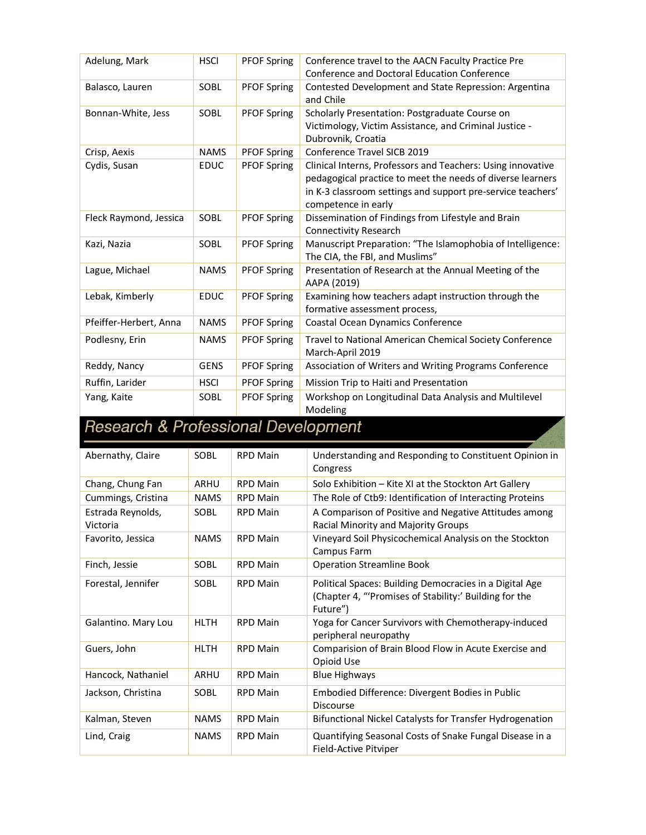| Adelung, Mark                       | <b>HSCI</b> | <b>PFOF Spring</b> | Conference travel to the AACN Faculty Practice Pre          |
|-------------------------------------|-------------|--------------------|-------------------------------------------------------------|
|                                     |             |                    | <b>Conference and Doctoral Education Conference</b>         |
| Balasco, Lauren                     | SOBL        | <b>PFOF Spring</b> | Contested Development and State Repression: Argentina       |
|                                     |             |                    | and Chile                                                   |
| Bonnan-White, Jess                  | SOBL        | <b>PFOF Spring</b> | Scholarly Presentation: Postgraduate Course on              |
|                                     |             |                    | Victimology, Victim Assistance, and Criminal Justice -      |
|                                     |             |                    | Dubrovnik, Croatia                                          |
| Crisp, Aexis                        | <b>NAMS</b> | <b>PFOF Spring</b> | Conference Travel SICB 2019                                 |
| Cydis, Susan                        | <b>EDUC</b> | <b>PFOF Spring</b> | Clinical Interns, Professors and Teachers: Using innovative |
|                                     |             |                    | pedagogical practice to meet the needs of diverse learners  |
|                                     |             |                    | in K-3 classroom settings and support pre-service teachers' |
|                                     |             |                    | competence in early                                         |
| Fleck Raymond, Jessica              | SOBL        | <b>PFOF Spring</b> | Dissemination of Findings from Lifestyle and Brain          |
|                                     |             |                    | <b>Connectivity Research</b>                                |
| Kazi, Nazia                         | SOBL        | <b>PFOF Spring</b> | Manuscript Preparation: "The Islamophobia of Intelligence:  |
|                                     |             |                    | The CIA, the FBI, and Muslims"                              |
| Lague, Michael                      | <b>NAMS</b> | <b>PFOF Spring</b> | Presentation of Research at the Annual Meeting of the       |
|                                     |             |                    | AAPA (2019)                                                 |
| Lebak, Kimberly                     | <b>EDUC</b> | <b>PFOF Spring</b> | Examining how teachers adapt instruction through the        |
|                                     |             |                    | formative assessment process,                               |
| Pfeiffer-Herbert, Anna              | <b>NAMS</b> | <b>PFOF Spring</b> | Coastal Ocean Dynamics Conference                           |
| Podlesny, Erin                      | <b>NAMS</b> | <b>PFOF Spring</b> | Travel to National American Chemical Society Conference     |
|                                     |             |                    | March-April 2019                                            |
| Reddy, Nancy                        | <b>GENS</b> | <b>PFOF Spring</b> | Association of Writers and Writing Programs Conference      |
| Ruffin, Larider                     | <b>HSCI</b> | <b>PFOF Spring</b> | Mission Trip to Haiti and Presentation                      |
| Yang, Kaite                         | SOBL        | <b>PFOF Spring</b> | Workshop on Longitudinal Data Analysis and Multilevel       |
|                                     |             |                    | Modeling                                                    |
| Becasech & Professional Development |             |                    |                                                             |

## **Research & Professional Development**

| Abernathy, Claire             | SOBL        | <b>RPD Main</b> | Understanding and Responding to Constituent Opinion in<br>Congress                                                            |
|-------------------------------|-------------|-----------------|-------------------------------------------------------------------------------------------------------------------------------|
| Chang, Chung Fan              | <b>ARHU</b> | <b>RPD Main</b> | Solo Exhibition – Kite XI at the Stockton Art Gallery                                                                         |
| Cummings, Cristina            | <b>NAMS</b> | <b>RPD Main</b> | The Role of Ctb9: Identification of Interacting Proteins                                                                      |
| Estrada Reynolds,<br>Victoria | SOBL        | <b>RPD Main</b> | A Comparison of Positive and Negative Attitudes among<br>Racial Minority and Majority Groups                                  |
| Favorito, Jessica             | <b>NAMS</b> | <b>RPD Main</b> | Vineyard Soil Physicochemical Analysis on the Stockton<br>Campus Farm                                                         |
| Finch, Jessie                 | SOBL        | <b>RPD Main</b> | <b>Operation Streamline Book</b>                                                                                              |
| Forestal, Jennifer            | SOBL        | <b>RPD Main</b> | Political Spaces: Building Democracies in a Digital Age<br>(Chapter 4, "'Promises of Stability:' Building for the<br>Future") |
| Galantino. Mary Lou           | <b>HLTH</b> | <b>RPD Main</b> | Yoga for Cancer Survivors with Chemotherapy-induced<br>peripheral neuropathy                                                  |
| Guers, John                   | <b>HLTH</b> | <b>RPD Main</b> | Comparision of Brain Blood Flow in Acute Exercise and<br>Opioid Use                                                           |
| Hancock, Nathaniel            | ARHU        | <b>RPD Main</b> | <b>Blue Highways</b>                                                                                                          |
| Jackson, Christina            | SOBL        | <b>RPD Main</b> | Embodied Difference: Divergent Bodies in Public<br><b>Discourse</b>                                                           |
| Kalman, Steven                | <b>NAMS</b> | <b>RPD Main</b> | Bifunctional Nickel Catalysts for Transfer Hydrogenation                                                                      |
| Lind, Craig                   | <b>NAMS</b> | <b>RPD Main</b> | Quantifying Seasonal Costs of Snake Fungal Disease in a<br>Field-Active Pitviper                                              |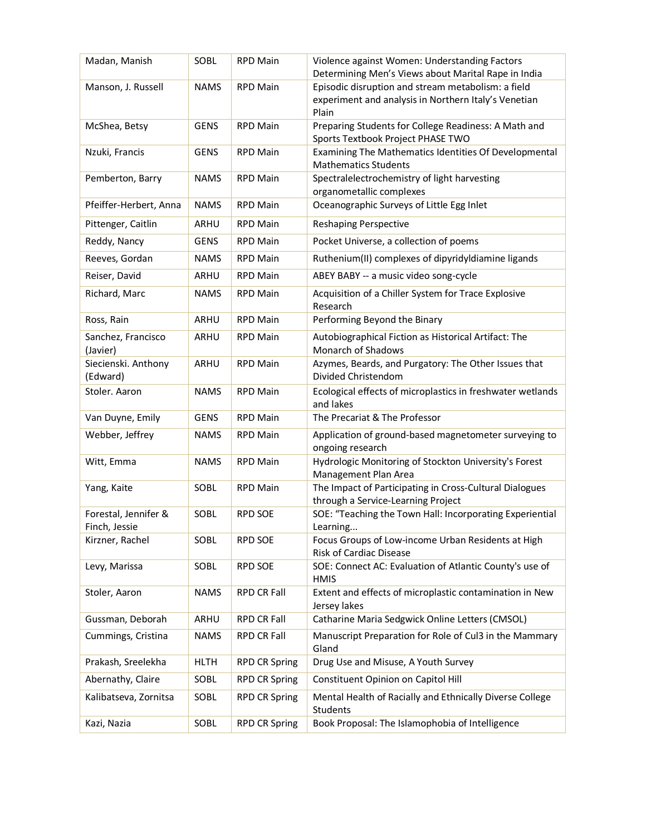| Madan, Manish                         | SOBL        | <b>RPD Main</b>      | Violence against Women: Understanding Factors<br>Determining Men's Views about Marital Rape in India |
|---------------------------------------|-------------|----------------------|------------------------------------------------------------------------------------------------------|
| Manson, J. Russell                    | <b>NAMS</b> | <b>RPD Main</b>      | Episodic disruption and stream metabolism: a field                                                   |
|                                       |             |                      | experiment and analysis in Northern Italy's Venetian<br>Plain                                        |
| McShea, Betsy                         | <b>GENS</b> | <b>RPD Main</b>      | Preparing Students for College Readiness: A Math and<br>Sports Textbook Project PHASE TWO            |
| Nzuki, Francis                        | <b>GENS</b> | <b>RPD Main</b>      | Examining The Mathematics Identities Of Developmental<br><b>Mathematics Students</b>                 |
| Pemberton, Barry                      | <b>NAMS</b> | <b>RPD Main</b>      | Spectralelectrochemistry of light harvesting<br>organometallic complexes                             |
| Pfeiffer-Herbert, Anna                | <b>NAMS</b> | <b>RPD Main</b>      | Oceanographic Surveys of Little Egg Inlet                                                            |
| Pittenger, Caitlin                    | ARHU        | <b>RPD Main</b>      | <b>Reshaping Perspective</b>                                                                         |
| Reddy, Nancy                          | <b>GENS</b> | <b>RPD Main</b>      | Pocket Universe, a collection of poems                                                               |
| Reeves, Gordan                        | <b>NAMS</b> | <b>RPD Main</b>      | Ruthenium(II) complexes of dipyridyldiamine ligands                                                  |
| Reiser, David                         | <b>ARHU</b> | <b>RPD Main</b>      | ABEY BABY -- a music video song-cycle                                                                |
| Richard, Marc                         | <b>NAMS</b> | <b>RPD Main</b>      | Acquisition of a Chiller System for Trace Explosive<br>Research                                      |
| Ross, Rain                            | ARHU        | <b>RPD Main</b>      | Performing Beyond the Binary                                                                         |
| Sanchez, Francisco<br>(Javier)        | ARHU        | <b>RPD Main</b>      | Autobiographical Fiction as Historical Artifact: The<br>Monarch of Shadows                           |
| Siecienski. Anthony<br>(Edward)       | ARHU        | <b>RPD Main</b>      | Azymes, Beards, and Purgatory: The Other Issues that<br>Divided Christendom                          |
| Stoler. Aaron                         | <b>NAMS</b> | <b>RPD Main</b>      | Ecological effects of microplastics in freshwater wetlands<br>and lakes                              |
| Van Duyne, Emily                      | <b>GENS</b> | <b>RPD Main</b>      | The Precariat & The Professor                                                                        |
| Webber, Jeffrey                       | <b>NAMS</b> | <b>RPD Main</b>      | Application of ground-based magnetometer surveying to<br>ongoing research                            |
| Witt, Emma                            | <b>NAMS</b> | <b>RPD Main</b>      | Hydrologic Monitoring of Stockton University's Forest<br>Management Plan Area                        |
| Yang, Kaite                           | SOBL        | <b>RPD Main</b>      | The Impact of Participating in Cross-Cultural Dialogues<br>through a Service-Learning Project        |
| Forestal, Jennifer &<br>Finch, Jessie | SOBL        | <b>RPD SOE</b>       | SOE: "Teaching the Town Hall: Incorporating Experiential<br>Learning                                 |
| Kirzner, Rachel                       | SOBL        | RPD SOE              | Focus Groups of Low-income Urban Residents at High<br><b>Risk of Cardiac Disease</b>                 |
| Levy, Marissa                         | SOBL        | <b>RPD SOE</b>       | SOE: Connect AC: Evaluation of Atlantic County's use of<br><b>HMIS</b>                               |
| Stoler, Aaron                         | <b>NAMS</b> | RPD CR Fall          | Extent and effects of microplastic contamination in New<br>Jersey lakes                              |
| Gussman, Deborah                      | ARHU        | RPD CR Fall          | Catharine Maria Sedgwick Online Letters (CMSOL)                                                      |
| Cummings, Cristina                    | <b>NAMS</b> | RPD CR Fall          | Manuscript Preparation for Role of Cul3 in the Mammary<br>Gland                                      |
| Prakash, Sreelekha                    | <b>HLTH</b> | <b>RPD CR Spring</b> | Drug Use and Misuse, A Youth Survey                                                                  |
| Abernathy, Claire                     | SOBL        | <b>RPD CR Spring</b> | Constituent Opinion on Capitol Hill                                                                  |
| Kalibatseva, Zornitsa                 | SOBL        | <b>RPD CR Spring</b> | Mental Health of Racially and Ethnically Diverse College<br>Students                                 |
| Kazi, Nazia                           | SOBL        | <b>RPD CR Spring</b> | Book Proposal: The Islamophobia of Intelligence                                                      |